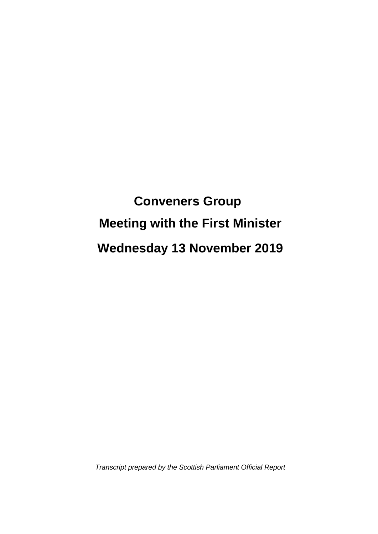# **Conveners Group Meeting with the First Minister Wednesday 13 November 2019**

*Transcript prepared by the Scottish Parliament Official Report*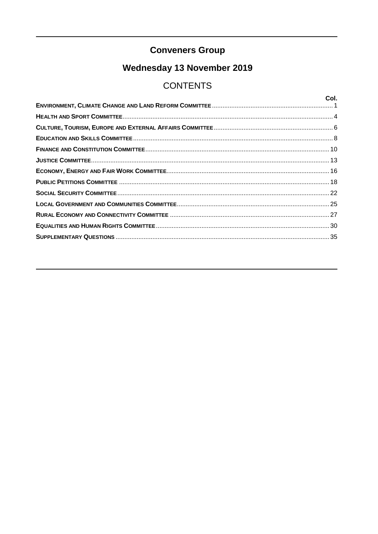## **Conveners Group**

## Wednesday 13 November 2019

## **CONTENTS**

| Col. |
|------|
|      |
|      |
|      |
|      |
|      |
|      |
|      |
|      |
|      |
|      |
|      |
|      |
|      |
|      |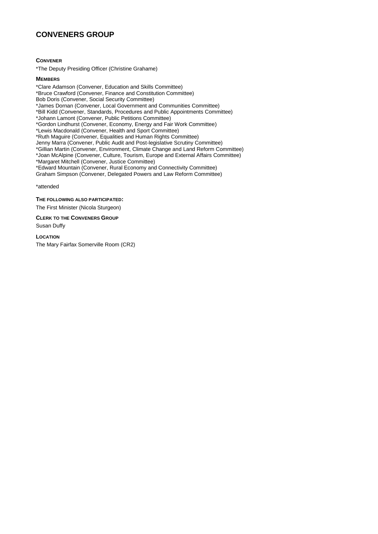## **CONVENERS GROUP**

**CONVENER**

\*The Deputy Presiding Officer (Christine Grahame)

**MEMBERS**

\*Clare Adamson (Convener, Education and Skills Committee) \*Bruce Crawford (Convener, Finance and Constitution Committee) Bob Doris (Convener, Social Security Committee) \*James Dornan (Convener, Local Government and Communities Committee) \*Bill Kidd (Convener, Standards, Procedures and Public Appointments Committee) \*Johann Lamont (Convener, Public Petitions Committee) \*Gordon Lindhurst (Convener, Economy, Energy and Fair Work Committee) \*Lewis Macdonald (Convener, Health and Sport Committee) \*Ruth Maguire (Convener, Equalities and Human Rights Committee) Jenny Marra (Convener, Public Audit and Post-legislative Scrutiny Committee) \*Gillian Martin (Convener, Environment, Climate Change and Land Reform Committee) \*Joan McAlpine (Convener, Culture, Tourism, Europe and External Affairs Committee) \*Margaret Mitchell (Convener, Justice Committee) \*Edward Mountain (Convener, Rural Economy and Connectivity Committee) Graham Simpson (Convener, Delegated Powers and Law Reform Committee)

\*attended

**THE FOLLOWING ALSO PARTICIPATED:**

The First Minister (Nicola Sturgeon)

**CLERK TO THE CONVENERS GROUP**

Susan Duffy

**LOCATION**

The Mary Fairfax Somerville Room (CR2)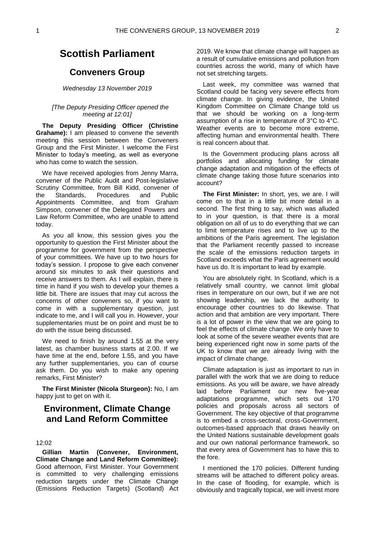## **Scottish Parliament**

### **Conveners Group**

#### *Wednesday 13 November 2019*

#### *[The Deputy Presiding Officer opened the meeting at 12:01]*

**The Deputy Presiding Officer (Christine Grahame):** I am pleased to convene the seventh meeting this session between the Conveners Group and the First Minister. I welcome the First Minister to today's meeting, as well as everyone who has come to watch the session.

We have received apologies from Jenny Marra, convener of the Public Audit and Post-legislative Scrutiny Committee, from Bill Kidd, convener of<br>the Standards, Procedures and Public the Standards, Procedures and Public Appointments Committee, and from Graham Simpson, convener of the Delegated Powers and Law Reform Committee, who are unable to attend today.

As you all know, this session gives you the opportunity to question the First Minister about the programme for government from the perspective of your committees. We have up to two hours for today's session. I propose to give each convener around six minutes to ask their questions and receive answers to them. As I will explain, there is time in hand if you wish to develop your themes a little bit. There are issues that may cut across the concerns of other conveners so, if you want to come in with a supplementary question, just indicate to me, and I will call you in. However, your supplementaries must be on point and must be to do with the issue being discussed.

We need to finish by around 1.55 at the very latest, as chamber business starts at 2.00. If we have time at the end, before 1.55, and you have any further supplementaries, you can of course ask them. Do you wish to make any opening remarks, First Minister?

**The First Minister (Nicola Sturgeon):** No, I am happy just to get on with it.

## <span id="page-6-0"></span>**Environment, Climate Change and Land Reform Committee**

#### 12:02

**Gillian Martin (Convener, Environment, Climate Change and Land Reform Committee):**  Good afternoon, First Minister. Your Government is committed to very challenging emissions reduction targets under the Climate Change (Emissions Reduction Targets) (Scotland) Act 2019. We know that climate change will happen as a result of cumulative emissions and pollution from countries across the world, many of which have not set stretching targets.

Last week, my committee was warned that Scotland could be facing very severe effects from climate change. In giving evidence, the United Kingdom Committee on Climate Change told us that we should be working on a long-term assumption of a rise in temperature of 3°C to 4°C. Weather events are to become more extreme, affecting human and environmental health. There is real concern about that.

Is the Government producing plans across all portfolios and allocating funding for climate change adaptation and mitigation of the effects of climate change taking those future scenarios into account?

**The First Minister:** In short, yes, we are. I will come on to that in a little bit more detail in a second. The first thing to say, which was alluded to in your question, is that there is a moral obligation on all of us to do everything that we can to limit temperature rises and to live up to the ambitions of the Paris agreement. The legislation that the Parliament recently passed to increase the scale of the emissions reduction targets in Scotland exceeds what the Paris agreement would have us do. It is important to lead by example.

You are absolutely right. In Scotland, which is a relatively small country, we cannot limit global rises in temperature on our own, but if we are not showing leadership, we lack the authority to encourage other countries to do likewise. That action and that ambition are very important. There is a lot of power in the view that we are going to feel the effects of climate change. We only have to look at some of the severe weather events that are being experienced right now in some parts of the UK to know that we are already living with the impact of climate change.

Climate adaptation is just as important to run in parallel with the work that we are doing to reduce emissions. As you will be aware, we have already laid before Parliament our new five-year adaptations programme, which sets out 170 policies and proposals across all sectors of Government. The key objective of that programme is to embed a cross-sectoral, cross-Government, outcomes-based approach that draws heavily on the United Nations sustainable development goals and our own national performance framework, so that every area of Government has to have this to the fore.

I mentioned the 170 policies. Different funding streams will be attached to different policy areas. In the case of flooding, for example, which is obviously and tragically topical, we will invest more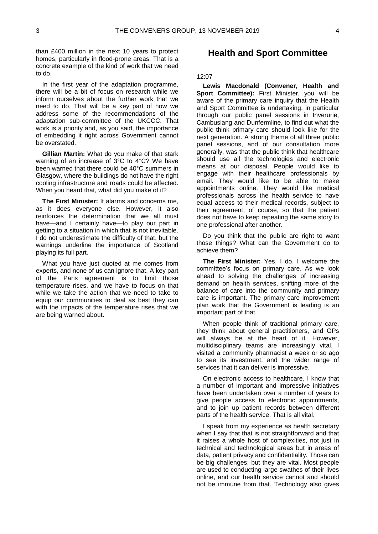than £400 million in the next 10 years to protect homes, particularly in flood-prone areas. That is a concrete example of the kind of work that we need to do.

In the first year of the adaptation programme, there will be a bit of focus on research while we inform ourselves about the further work that we need to do. That will be a key part of how we address some of the recommendations of the adaptation sub-committee of the UKCCC. That work is a priority and, as you said, the importance of embedding it right across Government cannot be overstated.

**Gillian Martin:** What do you make of that stark warning of an increase of 3°C to 4°C? We have been warned that there could be 40°C summers in Glasgow, where the buildings do not have the right cooling infrastructure and roads could be affected. When you heard that, what did you make of it?

**The First Minister:** It alarms and concerns me, as it does everyone else. However, it also reinforces the determination that we all must have—and I certainly have—to play our part in getting to a situation in which that is not inevitable. I do not underestimate the difficulty of that, but the warnings underline the importance of Scotland playing its full part.

What you have just quoted at me comes from experts, and none of us can ignore that. A key part of the Paris agreement is to limit those temperature rises, and we have to focus on that while we take the action that we need to take to equip our communities to deal as best they can with the impacts of the temperature rises that we are being warned about.

### <span id="page-7-0"></span>**Health and Sport Committee**

#### 12:07

**Lewis Macdonald (Convener, Health and Sport Committee):** First Minister, you will be aware of the primary care inquiry that the Health and Sport Committee is undertaking, in particular through our public panel sessions in Inverurie, Cambuslang and Dunfermline, to find out what the public think primary care should look like for the next generation. A strong theme of all three public panel sessions, and of our consultation more generally, was that the public think that healthcare should use all the technologies and electronic means at our disposal. People would like to engage with their healthcare professionals by email. They would like to be able to make appointments online. They would like medical professionals across the health service to have equal access to their medical records, subject to their agreement, of course, so that the patient does not have to keep repeating the same story to one professional after another.

Do you think that the public are right to want those things? What can the Government do to achieve them?

**The First Minister:** Yes, I do. I welcome the committee's focus on primary care. As we look ahead to solving the challenges of increasing demand on health services, shifting more of the balance of care into the community and primary care is important. The primary care improvement plan work that the Government is leading is an important part of that.

When people think of traditional primary care, they think about general practitioners, and GPs will always be at the heart of it. However, multidisciplinary teams are increasingly vital. I visited a community pharmacist a week or so ago to see its investment, and the wider range of services that it can deliver is impressive.

On electronic access to healthcare, I know that a number of important and impressive initiatives have been undertaken over a number of years to give people access to electronic appointments, and to join up patient records between different parts of the health service. That is all vital.

I speak from my experience as health secretary when I say that that is not straightforward and that it raises a whole host of complexities, not just in technical and technological areas but in areas of data, patient privacy and confidentiality. Those can be big challenges, but they are vital. Most people are used to conducting large swathes of their lives online, and our health service cannot and should not be immune from that. Technology also gives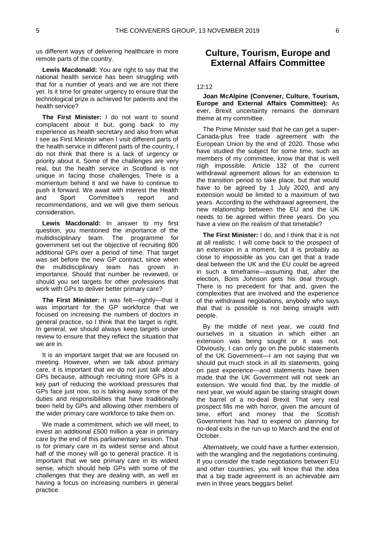us different ways of delivering healthcare in more remote parts of the country.

**Lewis Macdonald:** You are right to say that the national health service has been struggling with that for a number of years and we are not there yet. Is it time for greater urgency to ensure that the technological prize is achieved for patients and the health service?

**The First Minister:** I do not want to sound complacent about it but, going back to my experience as health secretary and also from what I see as First Minister when I visit different parts of the health service in different parts of the country, I do not think that there is a lack of urgency or priority about it. Some of the challenges are very real, but the health service in Scotland is not unique in facing those challenges. There is a momentum behind it and we have to continue to push it forward. We await with interest the Health and Sport Committee's report and recommendations, and we will give them serious consideration.

**Lewis Macdonald:** In answer to my first question, you mentioned the importance of the multidisciplinary team. The programme for government set out the objective of recruiting 800 additional GPs over a period of time. That target was set before the new GP contract, since when the multidisciplinary team has grown in importance. Should that number be reviewed, or should you set targets for other professions that work with GPs to deliver better primary care?

**The First Minister:** It was felt—rightly—that it was important for the GP workforce that we focused on increasing the numbers of doctors in general practice, so I think that the target is right. In general, we should always keep targets under review to ensure that they reflect the situation that we are in.

It is an important target that we are focused on meeting. However, when we talk about primary care, it is important that we do not just talk about GPs because, although recruiting more GPs is a key part of reducing the workload pressures that GPs face just now, so is taking away some of the duties and responsibilities that have traditionally been held by GPs and allowing other members of the wider primary care workforce to take them on.

We made a commitment, which we will meet, to invest an additional £500 million a year in primary care by the end of this parliamentary session. That is for primary care in its widest sense and about half of the money will go to general practice. It is important that we see primary care in its widest sense, which should help GPs with some of the challenges that they are dealing with, as well as having a focus on increasing numbers in general practice.

## <span id="page-8-0"></span>**Culture, Tourism, Europe and External Affairs Committee**

#### $12.12$

**Joan McAlpine (Convener, Culture, Tourism, Europe and External Affairs Committee):** As ever, Brexit uncertainty remains the dominant theme at my committee.

The Prime Minister said that he can get a super-Canada-plus free trade agreement with the European Union by the end of 2020. Those who have studied the subject for some time, such as members of my committee, know that that is well nigh impossible. Article 132 of the current withdrawal agreement allows for an extension to the transition period to take place, but that would have to be agreed by 1 July 2020, and any extension would be limited to a maximum of two years. According to the withdrawal agreement, the new relationship between the EU and the UK needs to be agreed within three years. Do you have a view on the realism of that timetable?

**The First Minister:** I do, and I think that it is not at all realistic. I will come back to the prospect of an extension in a moment, but it is probably as close to impossible as you can get that a trade deal between the UK and the EU could be agreed in such a timeframe—assuming that, after the election, Boris Johnson gets his deal through. There is no precedent for that and, given the complexities that are involved and the experience of the withdrawal negotiations, anybody who says that that is possible is not being straight with people.

By the middle of next year, we could find ourselves in a situation in which either an extension was being sought or it was not. Obviously, I can only go on the public statements of the UK Government—I am not saying that we should put much stock in all its statements, going on past experience—and statements have been made that the UK Government will not seek an extension. We would find that, by the middle of next year, we would again be staring straight down the barrel of a no-deal Brexit. That very real prospect fills me with horror, given the amount of time, effort and money that the Scottish Government has had to expend on planning for no-deal exits in the run-up to March and the end of October.

Alternatively, we could have a further extension, with the wrangling and the negotiations continuing. If you consider the trade negotiations between EU and other countries, you will know that the idea that a big trade agreement is an achievable aim even in three years beggars belief.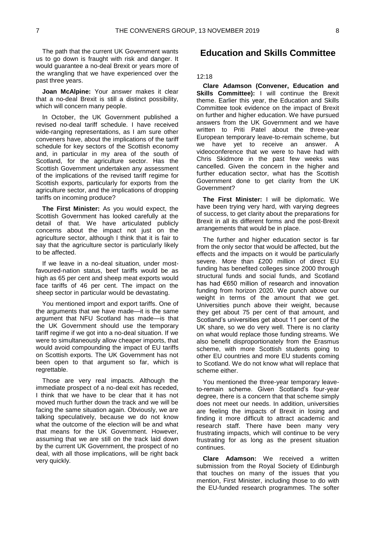The path that the current UK Government wants us to go down is fraught with risk and danger. It would guarantee a no-deal Brexit or years more of the wrangling that we have experienced over the past three years.

**Joan McAlpine:** Your answer makes it clear that a no-deal Brexit is still a distinct possibility, which will concern many people.

In October, the UK Government published a revised no-deal tariff schedule. I have received wide-ranging representations, as I am sure other conveners have, about the implications of the tariff schedule for key sectors of the Scottish economy and, in particular in my area of the south of Scotland, for the agriculture sector. Has the Scottish Government undertaken any assessment of the implications of the revised tariff regime for Scottish exports, particularly for exports from the agriculture sector, and the implications of dropping tariffs on incoming produce?

**The First Minister:** As you would expect, the Scottish Government has looked carefully at the detail of that. We have articulated publicly concerns about the impact not just on the agriculture sector, although I think that it is fair to say that the agriculture sector is particularly likely to be affected.

If we leave in a no-deal situation, under mostfavoured-nation status, beef tariffs would be as high as 65 per cent and sheep meat exports would face tariffs of 46 per cent. The impact on the sheep sector in particular would be devastating.

You mentioned import and export tariffs. One of the arguments that we have made—it is the same argument that NFU Scotland has made—is that the UK Government should use the temporary tariff regime if we got into a no-deal situation. If we were to simultaneously allow cheaper imports, that would avoid compounding the impact of EU tariffs on Scottish exports. The UK Government has not been open to that argument so far, which is regrettable.

Those are very real impacts. Although the immediate prospect of a no-deal exit has receded, I think that we have to be clear that it has not moved much further down the track and we will be facing the same situation again. Obviously, we are talking speculatively, because we do not know what the outcome of the election will be and what that means for the UK Government. However, assuming that we are still on the track laid down by the current UK Government, the prospect of no deal, with all those implications, will be right back very quickly.

## <span id="page-9-0"></span>**Education and Skills Committee**

#### 12:18

**Clare Adamson (Convener, Education and Skills Committee):** I will continue the Brexit theme. Earlier this year, the Education and Skills Committee took evidence on the impact of Brexit on further and higher education. We have pursued answers from the UK Government and we have written to Priti Patel about the three-year European temporary leave-to-remain scheme, but we have yet to receive an answer. A videoconference that we were to have had with Chris Skidmore in the past few weeks was cancelled. Given the concern in the higher and further education sector, what has the Scottish Government done to get clarity from the UK Government?

**The First Minister:** I will be diplomatic. We have been trying very hard, with varying degrees of success, to get clarity about the preparations for Brexit in all its different forms and the post-Brexit arrangements that would be in place.

The further and higher education sector is far from the only sector that would be affected, but the effects and the impacts on it would be particularly severe. More than £200 million of direct EU funding has benefited colleges since 2000 through structural funds and social funds, and Scotland has had €650 million of research and innovation funding from horizon 2020. We punch above our weight in terms of the amount that we get. Universities punch above their weight, because they get about 75 per cent of that amount, and Scotland's universities get about 11 per cent of the UK share, so we do very well. There is no clarity on what would replace those funding streams. We also benefit disproportionately from the Erasmus scheme, with more Scottish students going to other EU countries and more EU students coming to Scotland. We do not know what will replace that scheme either.

You mentioned the three-year temporary leaveto-remain scheme. Given Scotland's four-year degree, there is a concern that that scheme simply does not meet our needs. In addition, universities are feeling the impacts of Brexit in losing and finding it more difficult to attract academic and research staff. There have been many very frustrating impacts, which will continue to be very frustrating for as long as the present situation continues.

**Clare Adamson:** We received a written submission from the Royal Society of Edinburgh that touches on many of the issues that you mention, First Minister, including those to do with the EU-funded research programmes. The softer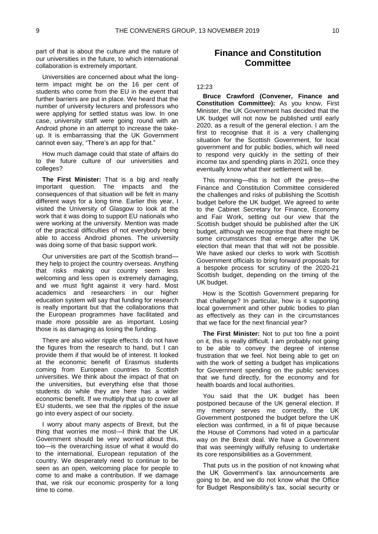part of that is about the culture and the nature of our universities in the future, to which international collaboration is extremely important.

Universities are concerned about what the longterm impact might be on the 16 per cent of students who come from the EU in the event that further barriers are put in place. We heard that the number of university lecturers and professors who were applying for settled status was low. In one case, university staff were going round with an Android phone in an attempt to increase the takeup. It is embarrassing that the UK Government cannot even say, "There's an app for that."

How much damage could that state of affairs do to the future culture of our universities and colleges?

**The First Minister:** That is a big and really important question. The impacts and the consequences of that situation will be felt in many different ways for a long time. Earlier this year, I visited the University of Glasgow to look at the work that it was doing to support EU nationals who were working at the university. Mention was made of the practical difficulties of not everybody being able to access Android phones. The university was doing some of that basic support work.

Our universities are part of the Scottish brand they help to project the country overseas. Anything that risks making our country seem less welcoming and less open is extremely damaging, and we must fight against it very hard. Most academics and researchers in our higher education system will say that funding for research is really important but that the collaborations that the European programmes have facilitated and made more possible are as important. Losing those is as damaging as losing the funding.

There are also wider ripple effects. I do not have the figures from the research to hand, but I can provide them if that would be of interest. It looked at the economic benefit of Erasmus students coming from European countries to Scottish universities. We think about the impact of that on the universities, but everything else that those students do while they are here has a wider economic benefit. If we multiply that up to cover all EU students, we see that the ripples of the issue go into every aspect of our society.

I worry about many aspects of Brexit, but the thing that worries me most—I think that the UK Government should be very worried about this, too—is the overarching issue of what it would do to the international, European reputation of the country. We desperately need to continue to be seen as an open, welcoming place for people to come to and make a contribution. If we damage that, we risk our economic prosperity for a long time to come.

## <span id="page-10-0"></span>**Finance and Constitution Committee**

#### 12:23

**Bruce Crawford (Convener, Finance and Constitution Committee):** As you know, First Minister, the UK Government has decided that the UK budget will not now be published until early 2020, as a result of the general election. I am the first to recognise that it is a very challenging situation for the Scottish Government, for local government and for public bodies, which will need to respond very quickly in the setting of their income tax and spending plans in 2021, once they eventually know what their settlement will be.

This morning—this is hot off the press—the Finance and Constitution Committee considered the challenges and risks of publishing the Scottish budget before the UK budget. We agreed to write to the Cabinet Secretary for Finance, Economy and Fair Work, setting out our view that the Scottish budget should be published after the UK budget, although we recognise that there might be some circumstances that emerge after the UK election that mean that that will not be possible. We have asked our clerks to work with Scottish Government officials to bring forward proposals for a bespoke process for scrutiny of the 2020-21 Scottish budget, depending on the timing of the UK budget.

How is the Scottish Government preparing for that challenge? In particular, how is it supporting local government and other public bodies to plan as effectively as they can in the circumstances that we face for the next financial year?

**The First Minister:** Not to put too fine a point on it, this is really difficult. I am probably not going to be able to convey the degree of intense frustration that we feel. Not being able to get on with the work of setting a budget has implications for Government spending on the public services that we fund directly, for the economy and for health boards and local authorities.

You said that the UK budget has been postponed because of the UK general election. If my memory serves me correctly, the UK Government postponed the budget before the UK election was confirmed, in a fit of pique because the House of Commons had voted in a particular way on the Brexit deal. We have a Government that was seemingly wilfully refusing to undertake its core responsibilities as a Government.

That puts us in the position of not knowing what the UK Government's tax announcements are going to be, and we do not know what the Office for Budget Responsibility's tax, social security or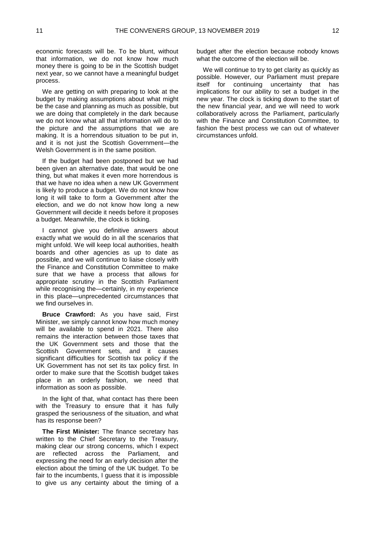economic forecasts will be. To be blunt, without that information, we do not know how much money there is going to be in the Scottish budget next year, so we cannot have a meaningful budget process.

We are getting on with preparing to look at the budget by making assumptions about what might be the case and planning as much as possible, but we are doing that completely in the dark because we do not know what all that information will do to the picture and the assumptions that we are making. It is a horrendous situation to be put in, and it is not just the Scottish Government—the Welsh Government is in the same position.

If the budget had been postponed but we had been given an alternative date, that would be one thing, but what makes it even more horrendous is that we have no idea when a new UK Government is likely to produce a budget. We do not know how long it will take to form a Government after the election, and we do not know how long a new Government will decide it needs before it proposes a budget. Meanwhile, the clock is ticking.

I cannot give you definitive answers about exactly what we would do in all the scenarios that might unfold. We will keep local authorities, health boards and other agencies as up to date as possible, and we will continue to liaise closely with the Finance and Constitution Committee to make sure that we have a process that allows for appropriate scrutiny in the Scottish Parliament while recognising the—certainly, in my experience in this place—unprecedented circumstances that we find ourselves in.

**Bruce Crawford:** As you have said, First Minister, we simply cannot know how much money will be available to spend in 2021. There also remains the interaction between those taxes that the UK Government sets and those that the Scottish Government sets, and it causes significant difficulties for Scottish tax policy if the UK Government has not set its tax policy first. In order to make sure that the Scottish budget takes place in an orderly fashion, we need that information as soon as possible.

In the light of that, what contact has there been with the Treasury to ensure that it has fully grasped the seriousness of the situation, and what has its response been?

**The First Minister:** The finance secretary has written to the Chief Secretary to the Treasury, making clear our strong concerns, which I expect are reflected across the Parliament, and expressing the need for an early decision after the election about the timing of the UK budget. To be fair to the incumbents, I guess that it is impossible to give us any certainty about the timing of a

budget after the election because nobody knows what the outcome of the election will be.

We will continue to try to get clarity as quickly as possible. However, our Parliament must prepare itself for continuing uncertainty that has implications for our ability to set a budget in the new year. The clock is ticking down to the start of the new financial year, and we will need to work collaboratively across the Parliament, particularly with the Finance and Constitution Committee, to fashion the best process we can out of whatever circumstances unfold.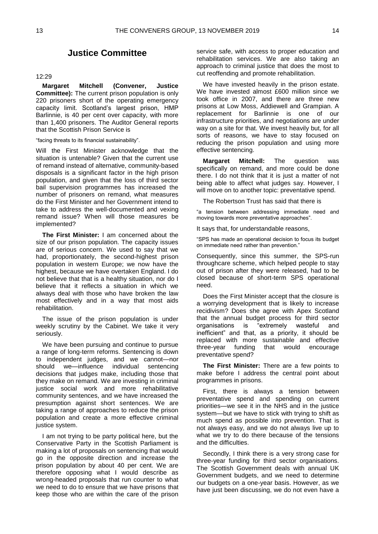## **Justice Committee**

#### <span id="page-12-0"></span>12:29

**Margaret Mitchell (Convener, Justice Committee):** The current prison population is only 220 prisoners short of the operating emergency capacity limit. Scotland's largest prison, HMP Barlinnie, is 40 per cent over capacity, with more than 1,400 prisoners. The Auditor General reports that the Scottish Prison Service is

"facing threats to its financial sustainability".

Will the First Minister acknowledge that the situation is untenable? Given that the current use of remand instead of alternative, community-based disposals is a significant factor in the high prison population, and given that the loss of third sector bail supervision programmes has increased the number of prisoners on remand, what measures do the First Minister and her Government intend to take to address the well-documented and vexing remand issue? When will those measures be implemented?

**The First Minister:** I am concerned about the size of our prison population. The capacity issues are of serious concern. We used to say that we had, proportionately, the second-highest prison population in western Europe; we now have the highest, because we have overtaken England. I do not believe that that is a healthy situation, nor do I believe that it reflects a situation in which we always deal with those who have broken the law most effectively and in a way that most aids rehabilitation.

The issue of the prison population is under weekly scrutiny by the Cabinet. We take it very seriously.

We have been pursuing and continue to pursue a range of long-term reforms. Sentencing is down to independent judges, and we cannot—nor should we—influence individual sentencing decisions that judges make, including those that they make on remand. We are investing in criminal justice social work and more rehabilitative community sentences, and we have increased the presumption against short sentences. We are taking a range of approaches to reduce the prison population and create a more effective criminal justice system.

I am not trying to be party political here, but the Conservative Party in the Scottish Parliament is making a lot of proposals on sentencing that would go in the opposite direction and increase the prison population by about 40 per cent. We are therefore opposing what I would describe as wrong-headed proposals that run counter to what we need to do to ensure that we have prisons that keep those who are within the care of the prison

service safe, with access to proper education and rehabilitation services. We are also taking an approach to criminal justice that does the most to cut reoffending and promote rehabilitation.

We have invested heavily in the prison estate. We have invested almost £600 million since we took office in 2007, and there are three new prisons at Low Moss, Addiewell and Grampian. A replacement for Barlinnie is one of our infrastructure priorities, and negotiations are under way on a site for that. We invest heavily but, for all sorts of reasons, we have to stay focused on reducing the prison population and using more effective sentencing.

**Margaret Mitchell:** The question was specifically on remand, and more could be done there. I do not think that it is just a matter of not being able to affect what judges say. However, I will move on to another topic: preventative spend.

The Robertson Trust has said that there is

"a tension between addressing immediate need and moving towards more preventative approaches".

It says that, for understandable reasons,

"SPS has made an operational decision to focus its budget on immediate need rather than prevention."

Consequently, since this summer, the SPS-run throughcare scheme, which helped people to stay out of prison after they were released, had to be closed because of short-term SPS operational need.

Does the First Minister accept that the closure is a worrying development that is likely to increase recidivism? Does she agree with Apex Scotland that the annual budget process for third sector organisations is "extremely wasteful and inefficient" and that, as a priority, it should be replaced with more sustainable and effective three-year funding that would encourage preventative spend?

**The First Minister:** There are a few points to make before I address the central point about programmes in prisons.

First, there is always a tension between preventative spend and spending on current priorities—we see it in the NHS and in the justice system—but we have to stick with trying to shift as much spend as possible into prevention. That is not always easy, and we do not always live up to what we try to do there because of the tensions and the difficulties.

Secondly, I think there is a very strong case for three-year funding for third sector organisations. The Scottish Government deals with annual UK Government budgets, and we need to determine our budgets on a one-year basis. However, as we have just been discussing, we do not even have a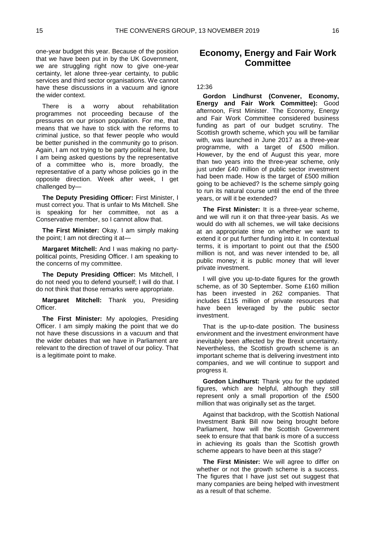one-year budget this year. Because of the position that we have been put in by the UK Government, we are struggling right now to give one-year certainty, let alone three-year certainty, to public services and third sector organisations. We cannot have these discussions in a vacuum and ignore the wider context.

There is a worry about rehabilitation programmes not proceeding because of the pressures on our prison population. For me, that means that we have to stick with the reforms to criminal justice, so that fewer people who would be better punished in the community go to prison. Again, I am not trying to be party political here, but I am being asked questions by the representative of a committee who is, more broadly, the representative of a party whose policies go in the opposite direction. Week after week, I get challenged by—

**The Deputy Presiding Officer:** First Minister, I must correct you. That is unfair to Ms Mitchell. She is speaking for her committee, not as a Conservative member, so I cannot allow that.

**The First Minister:** Okay. I am simply making the point; I am not directing it at—

**Margaret Mitchell:** And I was making no partypolitical points, Presiding Officer. I am speaking to the concerns of my committee.

**The Deputy Presiding Officer:** Ms Mitchell, I do not need you to defend yourself; I will do that. I do not think that those remarks were appropriate.

**Margaret Mitchell:** Thank you, Presiding Officer.

**The First Minister:** My apologies, Presiding Officer. I am simply making the point that we do not have these discussions in a vacuum and that the wider debates that we have in Parliament are relevant to the direction of travel of our policy. That is a legitimate point to make.

## <span id="page-13-0"></span>**Economy, Energy and Fair Work Committee**

#### 12:36

**Gordon Lindhurst (Convener, Economy, Energy and Fair Work Committee):** Good afternoon, First Minister. The Economy, Energy and Fair Work Committee considered business funding as part of our budget scrutiny. The Scottish growth scheme, which you will be familiar with, was launched in June 2017 as a three-year programme, with a target of £500 million. However, by the end of August this year, more than two years into the three-year scheme, only just under £40 million of public sector investment had been made. How is the target of £500 million going to be achieved? Is the scheme simply going to run its natural course until the end of the three years, or will it be extended?

**The First Minister:** It is a three-year scheme, and we will run it on that three-year basis. As we would do with all schemes, we will take decisions at an appropriate time on whether we want to extend it or put further funding into it. In contextual terms, it is important to point out that the £500 million is not, and was never intended to be, all public money; it is public money that will lever private investment.

I will give you up-to-date figures for the growth scheme, as of 30 September. Some £160 million has been invested in 262 companies. That includes £115 million of private resources that have been leveraged by the public sector investment.

That is the up-to-date position. The business environment and the investment environment have inevitably been affected by the Brexit uncertainty. Nevertheless, the Scottish growth scheme is an important scheme that is delivering investment into companies, and we will continue to support and progress it.

**Gordon Lindhurst:** Thank you for the updated figures, which are helpful, although they still represent only a small proportion of the £500 million that was originally set as the target.

Against that backdrop, with the Scottish National Investment Bank Bill now being brought before Parliament, how will the Scottish Government seek to ensure that that bank is more of a success in achieving its goals than the Scottish growth scheme appears to have been at this stage?

**The First Minister:** We will agree to differ on whether or not the growth scheme is a success. The figures that I have just set out suggest that many companies are being helped with investment as a result of that scheme.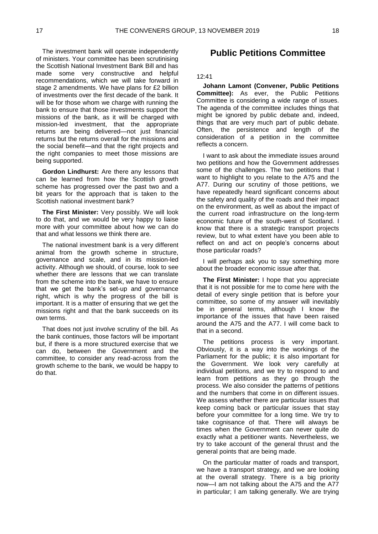The investment bank will operate independently of ministers. Your committee has been scrutinising the Scottish National Investment Bank Bill and has made some very constructive and helpful recommendations, which we will take forward in stage 2 amendments. We have plans for £2 billion of investments over the first decade of the bank. It will be for those whom we charge with running the bank to ensure that those investments support the missions of the bank, as it will be charged with mission-led investment, that the appropriate returns are being delivered—not just financial returns but the returns overall for the missions and the social benefit—and that the right projects and the right companies to meet those missions are being supported.

**Gordon Lindhurst:** Are there any lessons that can be learned from how the Scottish growth scheme has progressed over the past two and a bit years for the approach that is taken to the Scottish national investment bank?

**The First Minister:** Very possibly. We will look to do that, and we would be very happy to liaise more with your committee about how we can do that and what lessons we think there are.

The national investment bank is a very different animal from the growth scheme in structure, governance and scale, and in its mission-led activity. Although we should, of course, look to see whether there are lessons that we can translate from the scheme into the bank, we have to ensure that we get the bank's set-up and governance right, which is why the progress of the bill is important. It is a matter of ensuring that we get the missions right and that the bank succeeds on its own terms.

That does not just involve scrutiny of the bill. As the bank continues, those factors will be important but, if there is a more structured exercise that we can do, between the Government and the committee, to consider any read-across from the growth scheme to the bank, we would be happy to do that.

## <span id="page-14-0"></span>**Public Petitions Committee**

#### 12:41

**Johann Lamont (Convener, Public Petitions Committee):** As ever, the Public Petitions Committee is considering a wide range of issues. The agenda of the committee includes things that might be ignored by public debate and, indeed, things that are very much part of public debate. Often, the persistence and length of the consideration of a petition in the committee reflects a concern.

I want to ask about the immediate issues around two petitions and how the Government addresses some of the challenges. The two petitions that I want to highlight to you relate to the A75 and the A77. During our scrutiny of those petitions, we have repeatedly heard significant concerns about the safety and quality of the roads and their impact on the environment, as well as about the impact of the current road infrastructure on the long-term economic future of the south-west of Scotland. I know that there is a strategic transport projects review, but to what extent have you been able to reflect on and act on people's concerns about those particular roads?

I will perhaps ask you to say something more about the broader economic issue after that.

**The First Minister:** I hope that you appreciate that it is not possible for me to come here with the detail of every single petition that is before your committee, so some of my answer will inevitably be in general terms, although I know the importance of the issues that have been raised around the A75 and the A77. I will come back to that in a second.

The petitions process is very important. Obviously, it is a way into the workings of the Parliament for the public; it is also important for the Government. We look very carefully at individual petitions, and we try to respond to and learn from petitions as they go through the process. We also consider the patterns of petitions and the numbers that come in on different issues. We assess whether there are particular issues that keep coming back or particular issues that stay before your committee for a long time. We try to take cognisance of that. There will always be times when the Government can never quite do exactly what a petitioner wants. Nevertheless, we try to take account of the general thrust and the general points that are being made.

On the particular matter of roads and transport, we have a transport strategy, and we are looking at the overall strategy. There is a big priority now—I am not talking about the A75 and the A77 in particular; I am talking generally. We are trying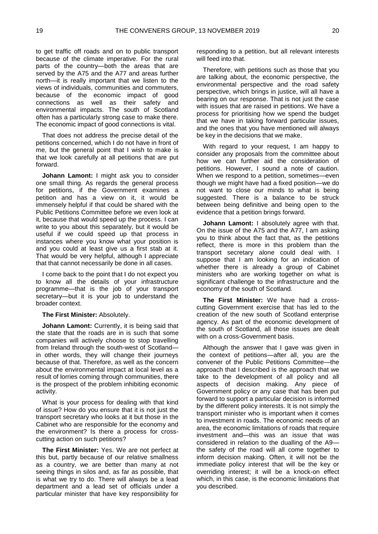to get traffic off roads and on to public transport because of the climate imperative. For the rural parts of the country—both the areas that are served by the A75 and the A77 and areas further north—it is really important that we listen to the views of individuals, communities and commuters, because of the economic impact of good connections as well as their safety and environmental impacts. The south of Scotland often has a particularly strong case to make there. The economic impact of good connections is vital.

That does not address the precise detail of the petitions concerned, which I do not have in front of me, but the general point that I wish to make is that we look carefully at all petitions that are put forward.

**Johann Lamont:** I might ask you to consider one small thing. As regards the general process for petitions, if the Government examines a petition and has a view on it, it would be immensely helpful if that could be shared with the Public Petitions Committee before we even look at it, because that would speed up the process. I can write to you about this separately, but it would be useful if we could speed up that process in instances where you know what your position is and you could at least give us a first stab at it. That would be very helpful, although I appreciate that that cannot necessarily be done in all cases.

I come back to the point that I do not expect you to know all the details of your infrastructure programme—that is the job of your transport secretary—but it is your job to understand the broader context.

**The First Minister:** Absolutely.

**Johann Lamont:** Currently, it is being said that the state that the roads are in is such that some companies will actively choose to stop travelling from Ireland through the south-west of Scotland in other words, they will change their journeys because of that. Therefore, as well as the concern about the environmental impact at local level as a result of lorries coming through communities, there is the prospect of the problem inhibiting economic activity.

What is your process for dealing with that kind of issue? How do you ensure that it is not just the transport secretary who looks at it but those in the Cabinet who are responsible for the economy and the environment? Is there a process for crosscutting action on such petitions?

**The First Minister:** Yes. We are not perfect at this but, partly because of our relative smallness as a country, we are better than many at not seeing things in silos and, as far as possible, that is what we try to do. There will always be a lead department and a lead set of officials under a particular minister that have key responsibility for

responding to a petition, but all relevant interests will feed into that.

Therefore, with petitions such as those that you are talking about, the economic perspective, the environmental perspective and the road safety perspective, which brings in justice, will all have a bearing on our response. That is not just the case with issues that are raised in petitions. We have a process for prioritising how we spend the budget that we have in taking forward particular issues, and the ones that you have mentioned will always be key in the decisions that we make.

With regard to your request, I am happy to consider any proposals from the committee about how we can further aid the consideration of petitions. However, I sound a note of caution. When we respond to a petition, sometimes—even though we might have had a fixed position—we do not want to close our minds to what is being suggested. There is a balance to be struck between being definitive and being open to the evidence that a petition brings forward.

**Johann Lamont:** I absolutely agree with that. On the issue of the A75 and the A77, I am asking you to think about the fact that, as the petitions reflect, there is more in this problem than the transport secretary alone could deal with. I suppose that I am looking for an indication of whether there is already a group of Cabinet ministers who are working together on what is significant challenge to the infrastructure and the economy of the south of Scotland.

**The First Minister:** We have had a crosscutting Government exercise that has led to the creation of the new south of Scotland enterprise agency. As part of the economic development of the south of Scotland, all those issues are dealt with on a cross-Government basis.

Although the answer that I gave was given in the context of petitions—after all, you are the convener of the Public Petitions Committee—the approach that I described is the approach that we take to the development of all policy and all aspects of decision making. Any piece of Government policy or any case that has been put forward to support a particular decision is informed by the different policy interests. It is not simply the transport minister who is important when it comes to investment in roads. The economic needs of an area, the economic limitations of roads that require investment and—this was an issue that was considered in relation to the dualling of the A9 the safety of the road will all come together to inform decision making. Often, it will not be the immediate policy interest that will be the key or overriding interest; it will be a knock-on effect which, in this case, is the economic limitations that you described.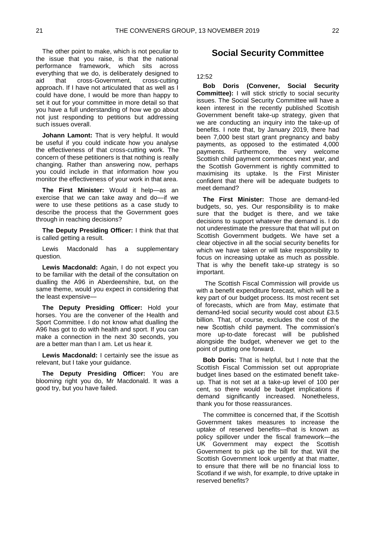The other point to make, which is not peculiar to the issue that you raise, is that the national performance framework, which sits across everything that we do, is deliberately designed to aid that cross-Government, cross-cutting approach. If I have not articulated that as well as I could have done, I would be more than happy to set it out for your committee in more detail so that you have a full understanding of how we go about not just responding to petitions but addressing such issues overall.

**Johann Lamont:** That is very helpful. It would be useful if you could indicate how you analyse the effectiveness of that cross-cutting work. The concern of these petitioners is that nothing is really changing. Rather than answering now, perhaps you could include in that information how you monitor the effectiveness of your work in that area.

**The First Minister:** Would it help—as an exercise that we can take away and do—if we were to use these petitions as a case study to describe the process that the Government goes through in reaching decisions?

**The Deputy Presiding Officer:** I think that that is called getting a result.

Lewis Macdonald has a supplementary question.

**Lewis Macdonald:** Again, I do not expect you to be familiar with the detail of the consultation on dualling the A96 in Aberdeenshire, but, on the same theme, would you expect in considering that the least expensive—

**The Deputy Presiding Officer:** Hold your horses. You are the convener of the Health and Sport Committee. I do not know what dualling the A96 has got to do with health and sport. If you can make a connection in the next 30 seconds, you are a better man than I am. Let us hear it.

**Lewis Macdonald:** I certainly see the issue as relevant, but I take your guidance.

**The Deputy Presiding Officer:** You are blooming right you do, Mr Macdonald. It was a good try, but you have failed.

### <span id="page-16-0"></span>**Social Security Committee**

#### 12:52

**Bob Doris (Convener, Social Security Committee):** I will stick strictly to social security issues. The Social Security Committee will have a keen interest in the recently published Scottish Government benefit take-up strategy, given that we are conducting an inquiry into the take-up of benefits. I note that, by January 2019, there had been 7,000 best start grant pregnancy and baby payments, as opposed to the estimated 4,000 payments. Furthermore, the very welcome Scottish child payment commences next year, and the Scottish Government is rightly committed to maximising its uptake. Is the First Minister confident that there will be adequate budgets to meet demand?

**The First Minister:** Those are demand-led budgets, so, yes. Our responsibility is to make sure that the budget is there, and we take decisions to support whatever the demand is. I do not underestimate the pressure that that will put on Scottish Government budgets. We have set a clear objective in all the social security benefits for which we have taken or will take responsibility to focus on increasing uptake as much as possible. That is why the benefit take-up strategy is so important.

The Scottish Fiscal Commission will provide us with a benefit expenditure forecast, which will be a key part of our budget process. Its most recent set of forecasts, which are from May, estimate that demand-led social security would cost about £3.5 billion. That, of course, excludes the cost of the new Scottish child payment. The commission's more up-to-date forecast will be published alongside the budget, whenever we get to the point of putting one forward.

**Bob Doris:** That is helpful, but I note that the Scottish Fiscal Commission set out appropriate budget lines based on the estimated benefit takeup. That is not set at a take-up level of 100 per cent, so there would be budget implications if demand significantly increased. Nonetheless, thank you for those reassurances.

The committee is concerned that, if the Scottish Government takes measures to increase the uptake of reserved benefits—that is known as policy spillover under the fiscal framework—the UK Government may expect the Scottish Government to pick up the bill for that. Will the Scottish Government look urgently at that matter, to ensure that there will be no financial loss to Scotland if we wish, for example, to drive uptake in reserved benefits?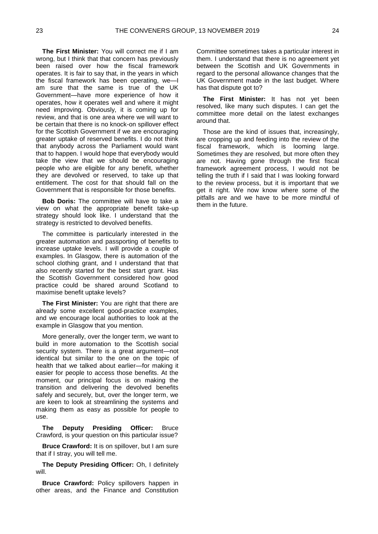**The First Minister:** You will correct me if I am wrong, but I think that that concern has previously been raised over how the fiscal framework operates. It is fair to say that, in the years in which the fiscal framework has been operating, we—I am sure that the same is true of the UK Government—have more experience of how it operates, how it operates well and where it might need improving. Obviously, it is coming up for review, and that is one area where we will want to be certain that there is no knock-on spillover effect for the Scottish Government if we are encouraging greater uptake of reserved benefits. I do not think that anybody across the Parliament would want that to happen. I would hope that everybody would take the view that we should be encouraging people who are eligible for any benefit, whether they are devolved or reserved, to take up that entitlement. The cost for that should fall on the Government that is responsible for those benefits.

**Bob Doris:** The committee will have to take a view on what the appropriate benefit take-up strategy should look like. I understand that the strategy is restricted to devolved benefits.

The committee is particularly interested in the greater automation and passporting of benefits to increase uptake levels. I will provide a couple of examples. In Glasgow, there is automation of the school clothing grant, and I understand that that also recently started for the best start grant. Has the Scottish Government considered how good practice could be shared around Scotland to maximise benefit uptake levels?

**The First Minister:** You are right that there are already some excellent good-practice examples, and we encourage local authorities to look at the example in Glasgow that you mention.

More generally, over the longer term, we want to build in more automation to the Scottish social security system. There is a great argument—not identical but similar to the one on the topic of health that we talked about earlier—for making it easier for people to access those benefits. At the moment, our principal focus is on making the transition and delivering the devolved benefits safely and securely, but, over the longer term, we are keen to look at streamlining the systems and making them as easy as possible for people to use.

**The Deputy Presiding Officer:** Bruce Crawford, is your question on this particular issue?

**Bruce Crawford:** It is on spillover, but I am sure that if I stray, you will tell me.

**The Deputy Presiding Officer:** Oh, I definitely will.

**Bruce Crawford:** Policy spillovers happen in other areas, and the Finance and Constitution Committee sometimes takes a particular interest in them. I understand that there is no agreement yet between the Scottish and UK Governments in regard to the personal allowance changes that the UK Government made in the last budget. Where has that dispute got to?

**The First Minister:** It has not yet been resolved, like many such disputes. I can get the committee more detail on the latest exchanges around that.

Those are the kind of issues that, increasingly, are cropping up and feeding into the review of the fiscal framework, which is looming large. Sometimes they are resolved, but more often they are not. Having gone through the first fiscal framework agreement process, I would not be telling the truth if I said that I was looking forward to the review process, but it is important that we get it right. We now know where some of the pitfalls are and we have to be more mindful of them in the future.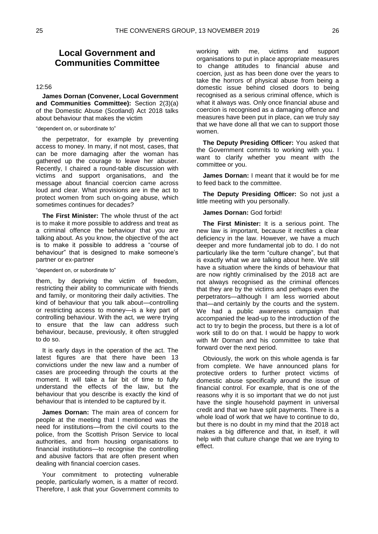## <span id="page-18-0"></span>**Local Government and Communities Committee**

#### 12:56

**James Dornan (Convener, Local Government and Communities Committee):** Section 2(3)(a) of the Domestic Abuse (Scotland) Act 2018 talks about behaviour that makes the victim

#### "dependent on, or subordinate to"

the perpetrator, for example by preventing access to money. In many, if not most, cases, that can be more damaging after the woman has gathered up the courage to leave her abuser. Recently, I chaired a round-table discussion with victims and support organisations, and the message about financial coercion came across loud and clear. What provisions are in the act to protect women from such on-going abuse, which sometimes continues for decades?

**The First Minister:** The whole thrust of the act is to make it more possible to address and treat as a criminal offence the behaviour that you are talking about. As you know, the objective of the act is to make it possible to address a "course of behaviour" that is designed to make someone's partner or ex-partner

"dependent on, or subordinate to"

them, by depriving the victim of freedom, restricting their ability to communicate with friends and family, or monitoring their daily activities. The kind of behaviour that you talk about—controlling or restricting access to money—is a key part of controlling behaviour. With the act, we were trying to ensure that the law can address such behaviour, because, previously, it often struggled to do so.

It is early days in the operation of the act. The latest figures are that there have been 13 convictions under the new law and a number of cases are proceeding through the courts at the moment. It will take a fair bit of time to fully understand the effects of the law, but the behaviour that you describe is exactly the kind of behaviour that is intended to be captured by it.

**James Dornan:** The main area of concern for people at the meeting that I mentioned was the need for institutions—from the civil courts to the police, from the Scottish Prison Service to local authorities, and from housing organisations to financial institutions—to recognise the controlling and abusive factors that are often present when dealing with financial coercion cases.

Your commitment to protecting vulnerable people, particularly women, is a matter of record. Therefore, I ask that your Government commits to working with me, victims and support organisations to put in place appropriate measures to change attitudes to financial abuse and coercion, just as has been done over the years to take the horrors of physical abuse from being a domestic issue behind closed doors to being recognised as a serious criminal offence, which is what it always was. Only once financial abuse and coercion is recognised as a damaging offence and measures have been put in place, can we truly say that we have done all that we can to support those women.

**The Deputy Presiding Officer:** You asked that the Government commits to working with you. I want to clarify whether you meant with the committee or you.

**James Dornan:** I meant that it would be for me to feed back to the committee.

**The Deputy Presiding Officer:** So not just a little meeting with you personally.

#### **James Dornan:** God forbid!

**The First Minister:** It is a serious point. The new law is important, because it rectifies a clear deficiency in the law. However, we have a much deeper and more fundamental job to do. I do not particularly like the term "culture change", but that is exactly what we are talking about here. We still have a situation where the kinds of behaviour that are now rightly criminalised by the 2018 act are not always recognised as the criminal offences that they are by the victims and perhaps even the perpetrators—although I am less worried about that—and certainly by the courts and the system. We had a public awareness campaign that accompanied the lead-up to the introduction of the act to try to begin the process, but there is a lot of work still to do on that. I would be happy to work with Mr Dornan and his committee to take that forward over the next period.

Obviously, the work on this whole agenda is far from complete. We have announced plans for protective orders to further protect victims of domestic abuse specifically around the issue of financial control. For example, that is one of the reasons why it is so important that we do not just have the single household payment in universal credit and that we have split payments. There is a whole load of work that we have to continue to do, but there is no doubt in my mind that the 2018 act makes a big difference and that, in itself, it will help with that culture change that we are trying to effect.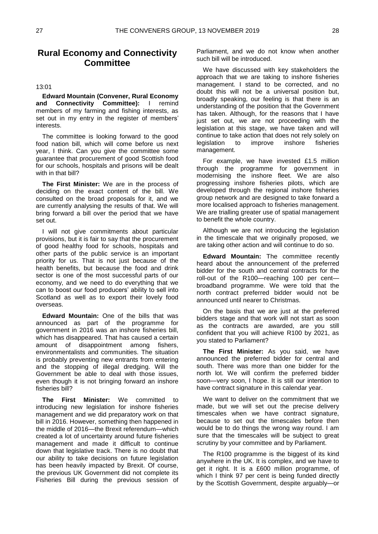## <span id="page-19-0"></span>**Rural Economy and Connectivity Committee**

#### 13:01

**Edward Mountain (Convener, Rural Economy and Connectivity Committee):** I remind members of my farming and fishing interests, as set out in my entry in the register of members' interests.

The committee is looking forward to the good food nation bill, which will come before us next year, I think. Can you give the committee some guarantee that procurement of good Scottish food for our schools, hospitals and prisons will be dealt with in that bill?

**The First Minister:** We are in the process of deciding on the exact content of the bill. We consulted on the broad proposals for it, and we are currently analysing the results of that. We will bring forward a bill over the period that we have set out.

I will not give commitments about particular provisions, but it is fair to say that the procurement of good healthy food for schools, hospitals and other parts of the public service is an important priority for us. That is not just because of the health benefits, but because the food and drink sector is one of the most successful parts of our economy, and we need to do everything that we can to boost our food producers' ability to sell into Scotland as well as to export their lovely food overseas.

**Edward Mountain:** One of the bills that was announced as part of the programme for government in 2016 was an inshore fisheries bill, which has disappeared. That has caused a certain amount of disappointment among fishers, environmentalists and communities. The situation is probably preventing new entrants from entering and the stopping of illegal dredging. Will the Government be able to deal with those issues, even though it is not bringing forward an inshore fisheries bill?

**The First Minister:** We committed to introducing new legislation for inshore fisheries management and we did preparatory work on that bill in 2016. However, something then happened in the middle of 2016—the Brexit referendum—which created a lot of uncertainty around future fisheries management and made it difficult to continue down that legislative track. There is no doubt that our ability to take decisions on future legislation has been heavily impacted by Brexit. Of course, the previous UK Government did not complete its Fisheries Bill during the previous session of

Parliament, and we do not know when another such bill will be introduced.

We have discussed with key stakeholders the approach that we are taking to inshore fisheries management. I stand to be corrected, and no doubt this will not be a universal position but, broadly speaking, our feeling is that there is an understanding of the position that the Government has taken. Although, for the reasons that I have just set out, we are not proceeding with the legislation at this stage, we have taken and will continue to take action that does not rely solely on legislation to improve inshore fisheries management.

For example, we have invested £1.5 million through the programme for government in modernising the inshore fleet. We are also progressing inshore fisheries pilots, which are developed through the regional inshore fisheries group network and are designed to take forward a more localised approach to fisheries management. We are trialling greater use of spatial management to benefit the whole country.

Although we are not introducing the legislation in the timescale that we originally proposed, we are taking other action and will continue to do so.

**Edward Mountain:** The committee recently heard about the announcement of the preferred bidder for the south and central contracts for the roll-out of the R100—reaching 100 per cent broadband programme. We were told that the north contract preferred bidder would not be announced until nearer to Christmas.

On the basis that we are just at the preferred bidders stage and that work will not start as soon as the contracts are awarded, are you still confident that you will achieve R100 by 2021, as you stated to Parliament?

**The First Minister:** As you said, we have announced the preferred bidder for central and south. There was more than one bidder for the north lot. We will confirm the preferred bidder soon—very soon, I hope. It is still our intention to have contract signature in this calendar year.

We want to deliver on the commitment that we made, but we will set out the precise delivery timescales when we have contract signature, because to set out the timescales before then would be to do things the wrong way round. I am sure that the timescales will be subject to great scrutiny by your committee and by Parliament.

The R100 programme is the biggest of its kind anywhere in the UK. It is complex, and we have to get it right. It is a £600 million programme, of which I think 97 per cent is being funded directly by the Scottish Government, despite arguably—or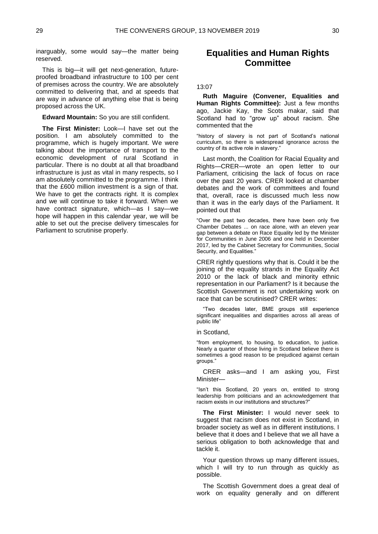inarguably, some would say—the matter being reserved.

This is big—it will get next-generation, futureproofed broadband infrastructure to 100 per cent of premises across the country. We are absolutely committed to delivering that, and at speeds that are way in advance of anything else that is being proposed across the UK.

**Edward Mountain:** So you are still confident.

**The First Minister:** Look—I have set out the position. I am absolutely committed to the programme, which is hugely important. We were talking about the importance of transport to the economic development of rural Scotland in particular. There is no doubt at all that broadband infrastructure is just as vital in many respects, so I am absolutely committed to the programme. I think that the £600 million investment is a sign of that. We have to get the contracts right. It is complex and we will continue to take it forward. When we have contract signature, which—as I say—we hope will happen in this calendar year, we will be able to set out the precise delivery timescales for Parliament to scrutinise properly.

## <span id="page-20-0"></span>**Equalities and Human Rights Committee**

#### 13:07

**Ruth Maguire (Convener, Equalities and Human Rights Committee):** Just a few months ago, Jackie Kay, the Scots makar, said that Scotland had to "grow up" about racism. She commented that the

"history of slavery is not part of Scotland's national curriculum, so there is widespread ignorance across the country of its active role in slavery."

Last month, the Coalition for Racial Equality and Rights—CRER—wrote an open letter to our Parliament, criticising the lack of focus on race over the past 20 years. CRER looked at chamber debates and the work of committees and found that, overall, race is discussed much less now than it was in the early days of the Parliament. It pointed out that

"Over the past two decades, there have been only five Chamber Debates ... on race alone, with an eleven year gap between a debate on Race Equality led by the Minister for Communities in June 2006 and one held in December 2017, led by the Cabinet Secretary for Communities, Social Security, and Equalities."

CRER rightly questions why that is. Could it be the joining of the equality strands in the Equality Act 2010 or the lack of black and minority ethnic representation in our Parliament? Is it because the Scottish Government is not undertaking work on race that can be scrutinised? CRER writes:

"Two decades later, BME groups still experience significant inequalities and disparities across all areas of public life"

in Scotland,

"from employment, to housing, to education, to justice. Nearly a quarter of those living in Scotland believe there is sometimes a good reason to be prejudiced against certain groups."

CRER asks—and I am asking you, First Minister—

"Isn't this Scotland, 20 years on, entitled to strong leadership from politicians and an acknowledgement that racism exists in our institutions and structures?"

**The First Minister:** I would never seek to suggest that racism does not exist in Scotland, in broader society as well as in different institutions. I believe that it does and I believe that we all have a serious obligation to both acknowledge that and tackle it.

Your question throws up many different issues, which I will try to run through as quickly as possible.

The Scottish Government does a great deal of work on equality generally and on different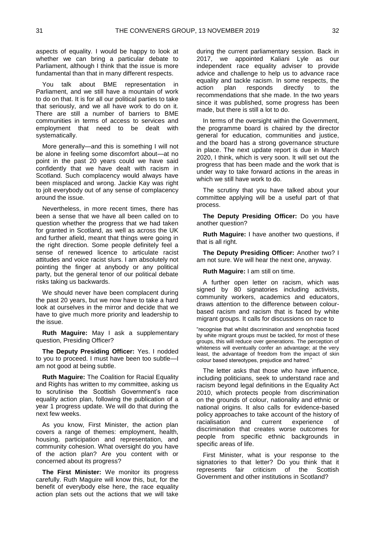aspects of equality. I would be happy to look at whether we can bring a particular debate to Parliament, although I think that the issue is more fundamental than that in many different respects.

You talk about BME representation in Parliament, and we still have a mountain of work to do on that. It is for all our political parties to take that seriously, and we all have work to do on it. There are still a number of barriers to BME communities in terms of access to services and employment that need to be dealt with systematically.

More generally—and this is something I will not be alone in feeling some discomfort about—at no point in the past 20 years could we have said confidently that we have dealt with racism in Scotland. Such complacency would always have been misplaced and wrong. Jackie Kay was right to jolt everybody out of any sense of complacency around the issue.

Nevertheless, in more recent times, there has been a sense that we have all been called on to question whether the progress that we had taken for granted in Scotland, as well as across the UK and further afield, meant that things were going in the right direction. Some people definitely feel a sense of renewed licence to articulate racist attitudes and voice racist slurs. I am absolutely not pointing the finger at anybody or any political party, but the general tenor of our political debate risks taking us backwards.

We should never have been complacent during the past 20 years, but we now have to take a hard look at ourselves in the mirror and decide that we have to give much more priority and leadership to the issue.

**Ruth Maguire:** May I ask a supplementary question, Presiding Officer?

**The Deputy Presiding Officer:** Yes. I nodded to you to proceed. I must have been too subtle—I am not good at being subtle.

**Ruth Maguire:** The Coalition for Racial Equality and Rights has written to my committee, asking us to scrutinise the Scottish Government's race equality action plan, following the publication of a year 1 progress update. We will do that during the next few weeks.

As you know, First Minister, the action plan covers a range of themes: employment, health, housing, participation and representation, and community cohesion. What oversight do you have of the action plan? Are you content with or concerned about its progress?

**The First Minister:** We monitor its progress carefully. Ruth Maguire will know this, but, for the benefit of everybody else here, the race equality action plan sets out the actions that we will take

during the current parliamentary session. Back in 2017, we appointed Kaliani Lyle as our independent race equality adviser to provide advice and challenge to help us to advance race equality and tackle racism. In some respects, the action plan responds directly to the recommendations that she made. In the two years since it was published, some progress has been made, but there is still a lot to do.

In terms of the oversight within the Government, the programme board is chaired by the director general for education, communities and justice, and the board has a strong governance structure in place. The next update report is due in March 2020, I think, which is very soon. It will set out the progress that has been made and the work that is under way to take forward actions in the areas in which we still have work to do.

The scrutiny that you have talked about your committee applying will be a useful part of that process.

**The Deputy Presiding Officer:** Do you have another question?

**Ruth Maguire:** I have another two questions, if that is all right.

**The Deputy Presiding Officer:** Another two? I am not sure. We will hear the next one, anyway.

**Ruth Maguire:** I am still on time.

A further open letter on racism, which was signed by 80 signatories including activists, community workers, academics and educators, draws attention to the difference between colourbased racism and racism that is faced by white migrant groups. It calls for discussions on race to

"recognise that whilst discrimination and xenophobia faced by white migrant groups must be tackled, for most of these groups, this will reduce over generations. The perception of whiteness will eventually confer an advantage; at the very least, the advantage of freedom from the impact of skin colour based stereotypes, prejudice and hatred."

The letter asks that those who have influence, including politicians, seek to understand race and racism beyond legal definitions in the Equality Act 2010, which protects people from discrimination on the grounds of colour, nationality and ethnic or national origins. It also calls for evidence-based policy approaches to take account of the history of racialisation and current experience of discrimination that creates worse outcomes for people from specific ethnic backgrounds in specific areas of life.

First Minister, what is your response to the signatories to that letter? Do you think that it represents fair criticism of the Scottish Government and other institutions in Scotland?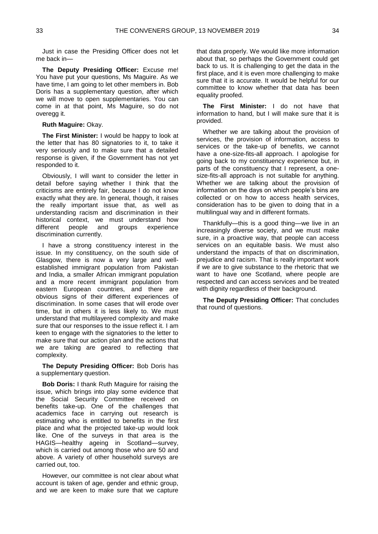Just in case the Presiding Officer does not let me back in—

**The Deputy Presiding Officer:** Excuse me! You have put your questions, Ms Maguire. As we have time, I am going to let other members in. Bob Doris has a supplementary question, after which we will move to open supplementaries. You can come in at that point, Ms Maguire, so do not overegg it.

**Ruth Maguire:** Okay.

**The First Minister:** I would be happy to look at the letter that has 80 signatories to it, to take it very seriously and to make sure that a detailed response is given, if the Government has not yet responded to it.

Obviously, I will want to consider the letter in detail before saying whether I think that the criticisms are entirely fair, because I do not know exactly what they are. In general, though, it raises the really important issue that, as well as understanding racism and discrimination in their historical context, we must understand how different people and groups experience discrimination currently.

I have a strong constituency interest in the issue. In my constituency, on the south side of Glasgow, there is now a very large and wellestablished immigrant population from Pakistan and India, a smaller African immigrant population and a more recent immigrant population from eastern European countries, and there are obvious signs of their different experiences of discrimination. In some cases that will erode over time, but in others it is less likely to. We must understand that multilayered complexity and make sure that our responses to the issue reflect it. I am keen to engage with the signatories to the letter to make sure that our action plan and the actions that we are taking are geared to reflecting that complexity.

**The Deputy Presiding Officer:** Bob Doris has a supplementary question.

**Bob Doris:** I thank Ruth Maguire for raising the issue, which brings into play some evidence that the Social Security Committee received on benefits take-up. One of the challenges that academics face in carrying out research is estimating who is entitled to benefits in the first place and what the projected take-up would look like. One of the surveys in that area is the HAGIS—healthy ageing in Scotland—survey, which is carried out among those who are 50 and above. A variety of other household surveys are carried out, too.

However, our committee is not clear about what account is taken of age, gender and ethnic group, and we are keen to make sure that we capture

that data properly. We would like more information about that, so perhaps the Government could get back to us. It is challenging to get the data in the first place, and it is even more challenging to make sure that it is accurate. It would be helpful for our committee to know whether that data has been equality proofed.

**The First Minister:** I do not have that information to hand, but I will make sure that it is provided.

Whether we are talking about the provision of services, the provision of information, access to services or the take-up of benefits, we cannot have a one-size-fits-all approach. I apologise for going back to my constituency experience but, in parts of the constituency that I represent, a onesize-fits-all approach is not suitable for anything. Whether we are talking about the provision of information on the days on which people's bins are collected or on how to access health services, consideration has to be given to doing that in a multilingual way and in different formats.

Thankfully—this is a good thing—we live in an increasingly diverse society, and we must make sure, in a proactive way, that people can access services on an equitable basis. We must also understand the impacts of that on discrimination, prejudice and racism. That is really important work if we are to give substance to the rhetoric that we want to have one Scotland, where people are respected and can access services and be treated with dignity regardless of their background.

**The Deputy Presiding Officer:** That concludes that round of questions.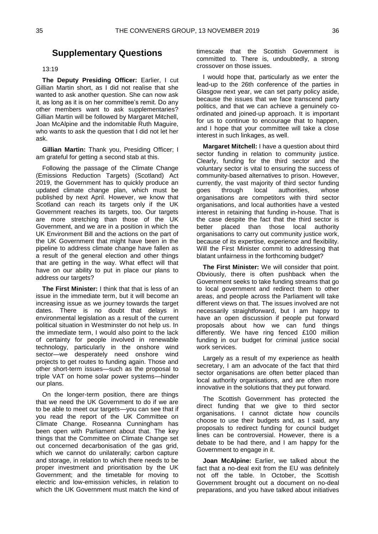## <span id="page-23-0"></span>**Supplementary Questions**

13:19

**The Deputy Presiding Officer:** Earlier, I cut Gillian Martin short, as I did not realise that she wanted to ask another question. She can now ask it, as long as it is on her committee's remit. Do any other members want to ask supplementaries? Gillian Martin will be followed by Margaret Mitchell, Joan McAlpine and the indomitable Ruth Maguire, who wants to ask the question that I did not let her ask.

**Gillian Martin:** Thank you, Presiding Officer; I am grateful for getting a second stab at this.

Following the passage of the Climate Change (Emissions Reduction Targets) (Scotland) Act 2019, the Government has to quickly produce an updated climate change plan, which must be published by next April. However, we know that Scotland can reach its targets only if the UK Government reaches its targets, too. Our targets are more stretching than those of the UK Government, and we are in a position in which the UK Environment Bill and the actions on the part of the UK Government that might have been in the pipeline to address climate change have fallen as a result of the general election and other things that are getting in the way. What effect will that have on our ability to put in place our plans to address our targets?

**The First Minister:** I think that that is less of an issue in the immediate term, but it will become an increasing issue as we journey towards the target dates. There is no doubt that delays in environmental legislation as a result of the current political situation in Westminster do not help us. In the immediate term, I would also point to the lack of certainty for people involved in renewable technology, particularly in the onshore wind sector—we desperately need onshore wind projects to get routes to funding again. Those and other short-term issues—such as the proposal to triple VAT on home solar power systems—hinder our plans.

On the longer-term position, there are things that we need the UK Government to do if we are to be able to meet our targets—you can see that if you read the report of the UK Committee on Climate Change. Roseanna Cunningham has been open with Parliament about that. The key things that the Committee on Climate Change set out concerned decarbonisation of the gas grid, which we cannot do unilaterally; carbon capture and storage, in relation to which there needs to be proper investment and prioritisation by the UK Government; and the timetable for moving to electric and low-emission vehicles, in relation to which the UK Government must match the kind of

timescale that the Scottish Government is committed to. There is, undoubtedly, a strong crossover on those issues.

I would hope that, particularly as we enter the lead-up to the 26th conference of the parties in Glasgow next year, we can set party policy aside, because the issues that we face transcend party politics, and that we can achieve a genuinely coordinated and joined-up approach. It is important for us to continue to encourage that to happen, and I hope that your committee will take a close interest in such linkages, as well.

**Margaret Mitchell:** I have a question about third sector funding in relation to community justice. Clearly, funding for the third sector and the voluntary sector is vital to ensuring the success of community-based alternatives to prison. However, currently, the vast majority of third sector funding goes through local authorities, whose organisations are competitors with third sector organisations, and local authorities have a vested interest in retaining that funding in-house. That is the case despite the fact that the third sector is better placed than those local authority organisations to carry out community justice work, because of its expertise, experience and flexibility. Will the First Minister commit to addressing that blatant unfairness in the forthcoming budget?

**The First Minister:** We will consider that point. Obviously, there is often pushback when the Government seeks to take funding streams that go to local government and redirect them to other areas, and people across the Parliament will take different views on that. The issues involved are not necessarily straightforward, but I am happy to have an open discussion if people put forward proposals about how we can fund things differently. We have ring fenced £100 million funding in our budget for criminal justice social work services.

Largely as a result of my experience as health secretary, I am an advocate of the fact that third sector organisations are often better placed than local authority organisations, and are often more innovative in the solutions that they put forward.

The Scottish Government has protected the direct funding that we give to third sector organisations. I cannot dictate how councils choose to use their budgets and, as I said, any proposals to redirect funding for council budget lines can be controversial. However, there is a debate to be had there, and I am happy for the Government to engage in it.

**Joan McAlpine:** Earlier, we talked about the fact that a no-deal exit from the EU was definitely not off the table. In October, the Scottish Government brought out a document on no-deal preparations, and you have talked about initiatives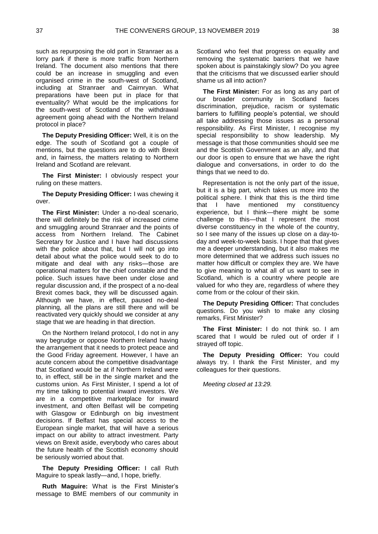such as repurposing the old port in Stranraer as a lorry park if there is more traffic from Northern Ireland. The document also mentions that there could be an increase in smuggling and even organised crime in the south-west of Scotland, including at Stranraer and Cairnryan. What preparations have been put in place for that eventuality? What would be the implications for the south-west of Scotland of the withdrawal agreement going ahead with the Northern Ireland protocol in place?

**The Deputy Presiding Officer:** Well, it is on the edge. The south of Scotland got a couple of mentions, but the questions are to do with Brexit and, in fairness, the matters relating to Northern Ireland and Scotland are relevant.

**The First Minister:** I obviously respect your ruling on these matters.

**The Deputy Presiding Officer:** I was chewing it over.

**The First Minister:** Under a no-deal scenario, there will definitely be the risk of increased crime and smuggling around Stranraer and the points of access from Northern Ireland. The Cabinet Secretary for Justice and I have had discussions with the police about that, but I will not go into detail about what the police would seek to do to mitigate and deal with any risks—those are operational matters for the chief constable and the police. Such issues have been under close and regular discussion and, if the prospect of a no-deal Brexit comes back, they will be discussed again. Although we have, in effect, paused no-deal planning, all the plans are still there and will be reactivated very quickly should we consider at any stage that we are heading in that direction.

On the Northern Ireland protocol, I do not in any way begrudge or oppose Northern Ireland having the arrangement that it needs to protect peace and the Good Friday agreement. However, I have an acute concern about the competitive disadvantage that Scotland would be at if Northern Ireland were to, in effect, still be in the single market and the customs union. As First Minister, I spend a lot of my time talking to potential inward investors. We are in a competitive marketplace for inward investment, and often Belfast will be competing with Glasgow or Edinburgh on big investment decisions. If Belfast has special access to the European single market, that will have a serious impact on our ability to attract investment. Party views on Brexit aside, everybody who cares about the future health of the Scottish economy should be seriously worried about that.

**The Deputy Presiding Officer:** I call Ruth Maguire to speak lastly—and, I hope, briefly.

**Ruth Maguire:** What is the First Minister's message to BME members of our community in Scotland who feel that progress on equality and removing the systematic barriers that we have spoken about is painstakingly slow? Do you agree that the criticisms that we discussed earlier should shame us all into action?

**The First Minister:** For as long as any part of our broader community in Scotland faces discrimination, prejudice, racism or systematic barriers to fulfilling people's potential, we should all take addressing those issues as a personal responsibility. As First Minister, I recognise my special responsibility to show leadership. My message is that those communities should see me and the Scottish Government as an ally, and that our door is open to ensure that we have the right dialogue and conversations, in order to do the things that we need to do.

Representation is not the only part of the issue, but it is a big part, which takes us more into the political sphere. I think that this is the third time that I have mentioned my constituency experience, but I think—there might be some challenge to this—that I represent the most diverse constituency in the whole of the country, so I see many of the issues up close on a day-today and week-to-week basis. I hope that that gives me a deeper understanding, but it also makes me more determined that we address such issues no matter how difficult or complex they are. We have to give meaning to what all of us want to see in Scotland, which is a country where people are valued for who they are, regardless of where they come from or the colour of their skin.

**The Deputy Presiding Officer:** That concludes questions. Do you wish to make any closing remarks, First Minister?

**The First Minister:** I do not think so. I am scared that I would be ruled out of order if I strayed off topic.

**The Deputy Presiding Officer:** You could always try. I thank the First Minister, and my colleagues for their questions.

*Meeting closed at 13:29.*